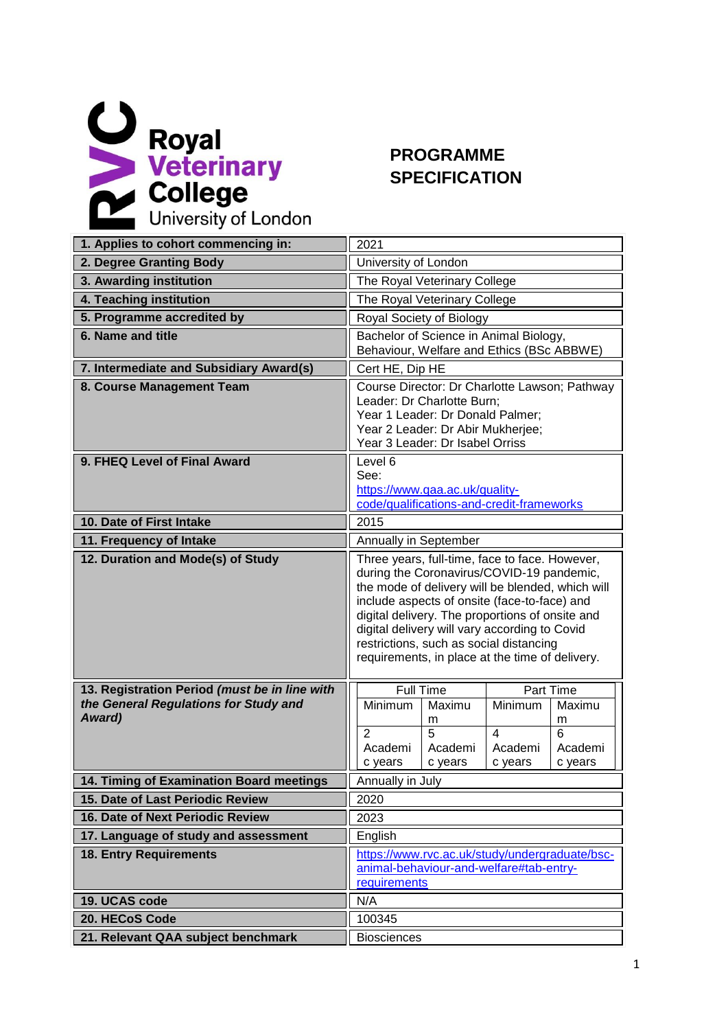

## **PROGRAMME SPECIFICATION**

| 1. Applies to cohort commencing in:                                                              | 2021                                                                                                                                                                                                                                                                                                                                                                                              |  |  |  |
|--------------------------------------------------------------------------------------------------|---------------------------------------------------------------------------------------------------------------------------------------------------------------------------------------------------------------------------------------------------------------------------------------------------------------------------------------------------------------------------------------------------|--|--|--|
| 2. Degree Granting Body                                                                          | University of London                                                                                                                                                                                                                                                                                                                                                                              |  |  |  |
| 3. Awarding institution                                                                          | The Royal Veterinary College                                                                                                                                                                                                                                                                                                                                                                      |  |  |  |
| 4. Teaching institution                                                                          | The Royal Veterinary College                                                                                                                                                                                                                                                                                                                                                                      |  |  |  |
| 5. Programme accredited by                                                                       | Royal Society of Biology                                                                                                                                                                                                                                                                                                                                                                          |  |  |  |
| 6. Name and title                                                                                | Bachelor of Science in Animal Biology,<br>Behaviour, Welfare and Ethics (BSc ABBWE)                                                                                                                                                                                                                                                                                                               |  |  |  |
| 7. Intermediate and Subsidiary Award(s)                                                          | Cert HE, Dip HE                                                                                                                                                                                                                                                                                                                                                                                   |  |  |  |
| 8. Course Management Team                                                                        | Course Director: Dr Charlotte Lawson; Pathway<br>Leader: Dr Charlotte Burn;<br>Year 1 Leader: Dr Donald Palmer;<br>Year 2 Leader: Dr Abir Mukherjee;<br>Year 3 Leader: Dr Isabel Orriss                                                                                                                                                                                                           |  |  |  |
| 9. FHEQ Level of Final Award                                                                     | Level 6<br>See:<br>https://www.qaa.ac.uk/quality-<br>code/qualifications-and-credit-frameworks                                                                                                                                                                                                                                                                                                    |  |  |  |
| 10. Date of First Intake                                                                         | 2015                                                                                                                                                                                                                                                                                                                                                                                              |  |  |  |
| 11. Frequency of Intake                                                                          | Annually in September                                                                                                                                                                                                                                                                                                                                                                             |  |  |  |
| 12. Duration and Mode(s) of Study                                                                | Three years, full-time, face to face. However,<br>during the Coronavirus/COVID-19 pandemic,<br>the mode of delivery will be blended, which will<br>include aspects of onsite (face-to-face) and<br>digital delivery. The proportions of onsite and<br>digital delivery will vary according to Covid<br>restrictions, such as social distancing<br>requirements, in place at the time of delivery. |  |  |  |
| 13. Registration Period (must be in line with<br>the General Regulations for Study and<br>Award) | <b>Full Time</b><br>Part Time<br>Minimum<br>Minimum<br>Maximu<br>Maximu<br>m<br>m<br>5<br>$\overline{\mathbf{A}}$<br>6<br>$\overline{2}$<br>Academi<br>Academi<br>Academi<br>Academi<br>c years<br>c years<br>c years<br>c years                                                                                                                                                                  |  |  |  |
| 14. Timing of Examination Board meetings                                                         | Annually in July                                                                                                                                                                                                                                                                                                                                                                                  |  |  |  |
| 15. Date of Last Periodic Review                                                                 | 2020                                                                                                                                                                                                                                                                                                                                                                                              |  |  |  |
| 16. Date of Next Periodic Review                                                                 | 2023                                                                                                                                                                                                                                                                                                                                                                                              |  |  |  |
| 17. Language of study and assessment                                                             | English                                                                                                                                                                                                                                                                                                                                                                                           |  |  |  |
| <b>18. Entry Requirements</b>                                                                    | https://www.rvc.ac.uk/study/undergraduate/bsc-<br>animal-behaviour-and-welfare#tab-entry-<br>requirements                                                                                                                                                                                                                                                                                         |  |  |  |
| 19. UCAS code                                                                                    | N/A                                                                                                                                                                                                                                                                                                                                                                                               |  |  |  |
| 20. HECoS Code                                                                                   | 100345                                                                                                                                                                                                                                                                                                                                                                                            |  |  |  |
| 21. Relevant QAA subject benchmark                                                               | <b>Biosciences</b>                                                                                                                                                                                                                                                                                                                                                                                |  |  |  |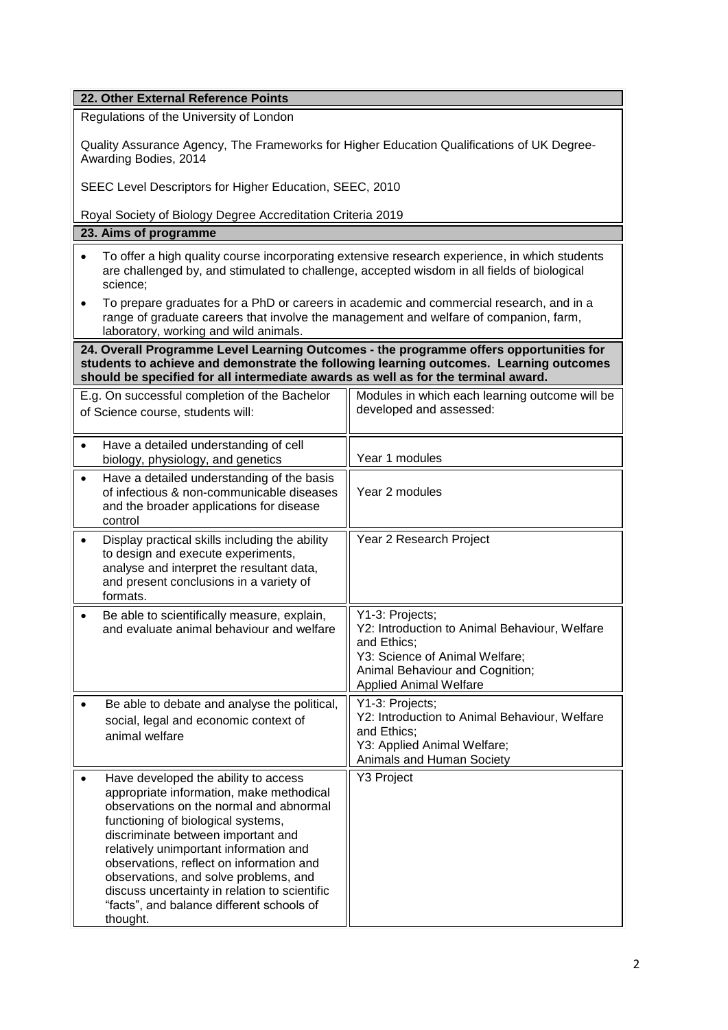| 22. Other External Reference Points                                                                                                                                                                                                                                                                                                                                                                                                              |                                                                                                                                                                                       |  |  |  |  |
|--------------------------------------------------------------------------------------------------------------------------------------------------------------------------------------------------------------------------------------------------------------------------------------------------------------------------------------------------------------------------------------------------------------------------------------------------|---------------------------------------------------------------------------------------------------------------------------------------------------------------------------------------|--|--|--|--|
| Regulations of the University of London                                                                                                                                                                                                                                                                                                                                                                                                          |                                                                                                                                                                                       |  |  |  |  |
| Quality Assurance Agency, The Frameworks for Higher Education Qualifications of UK Degree-<br>Awarding Bodies, 2014                                                                                                                                                                                                                                                                                                                              |                                                                                                                                                                                       |  |  |  |  |
| SEEC Level Descriptors for Higher Education, SEEC, 2010                                                                                                                                                                                                                                                                                                                                                                                          |                                                                                                                                                                                       |  |  |  |  |
| Royal Society of Biology Degree Accreditation Criteria 2019                                                                                                                                                                                                                                                                                                                                                                                      |                                                                                                                                                                                       |  |  |  |  |
| 23. Aims of programme                                                                                                                                                                                                                                                                                                                                                                                                                            |                                                                                                                                                                                       |  |  |  |  |
| To offer a high quality course incorporating extensive research experience, in which students<br>are challenged by, and stimulated to challenge, accepted wisdom in all fields of biological<br>science;                                                                                                                                                                                                                                         |                                                                                                                                                                                       |  |  |  |  |
| To prepare graduates for a PhD or careers in academic and commercial research, and in a<br>$\bullet$<br>range of graduate careers that involve the management and welfare of companion, farm,<br>laboratory, working and wild animals.                                                                                                                                                                                                           |                                                                                                                                                                                       |  |  |  |  |
| 24. Overall Programme Level Learning Outcomes - the programme offers opportunities for<br>students to achieve and demonstrate the following learning outcomes. Learning outcomes<br>should be specified for all intermediate awards as well as for the terminal award.                                                                                                                                                                           |                                                                                                                                                                                       |  |  |  |  |
| E.g. On successful completion of the Bachelor<br>of Science course, students will:                                                                                                                                                                                                                                                                                                                                                               | Modules in which each learning outcome will be<br>developed and assessed:                                                                                                             |  |  |  |  |
| Have a detailed understanding of cell<br>biology, physiology, and genetics                                                                                                                                                                                                                                                                                                                                                                       | Year 1 modules                                                                                                                                                                        |  |  |  |  |
| Have a detailed understanding of the basis<br>of infectious & non-communicable diseases<br>and the broader applications for disease<br>control                                                                                                                                                                                                                                                                                                   | Year 2 modules                                                                                                                                                                        |  |  |  |  |
| Display practical skills including the ability<br>to design and execute experiments,<br>analyse and interpret the resultant data,<br>and present conclusions in a variety of<br>formats.                                                                                                                                                                                                                                                         | Year 2 Research Project                                                                                                                                                               |  |  |  |  |
| Be able to scientifically measure, explain,<br>and evaluate animal behaviour and welfare                                                                                                                                                                                                                                                                                                                                                         | Y1-3: Projects;<br>Y2: Introduction to Animal Behaviour, Welfare<br>and Ethics;<br>Y3: Science of Animal Welfare;<br>Animal Behaviour and Cognition;<br><b>Applied Animal Welfare</b> |  |  |  |  |
| Be able to debate and analyse the political,<br>social, legal and economic context of<br>animal welfare                                                                                                                                                                                                                                                                                                                                          | Y1-3: Projects;<br>Y2: Introduction to Animal Behaviour, Welfare<br>and Ethics;<br>Y3: Applied Animal Welfare;<br>Animals and Human Society                                           |  |  |  |  |
| Have developed the ability to access<br>appropriate information, make methodical<br>observations on the normal and abnormal<br>functioning of biological systems,<br>discriminate between important and<br>relatively unimportant information and<br>observations, reflect on information and<br>observations, and solve problems, and<br>discuss uncertainty in relation to scientific<br>"facts", and balance different schools of<br>thought. | <b>Y3 Project</b>                                                                                                                                                                     |  |  |  |  |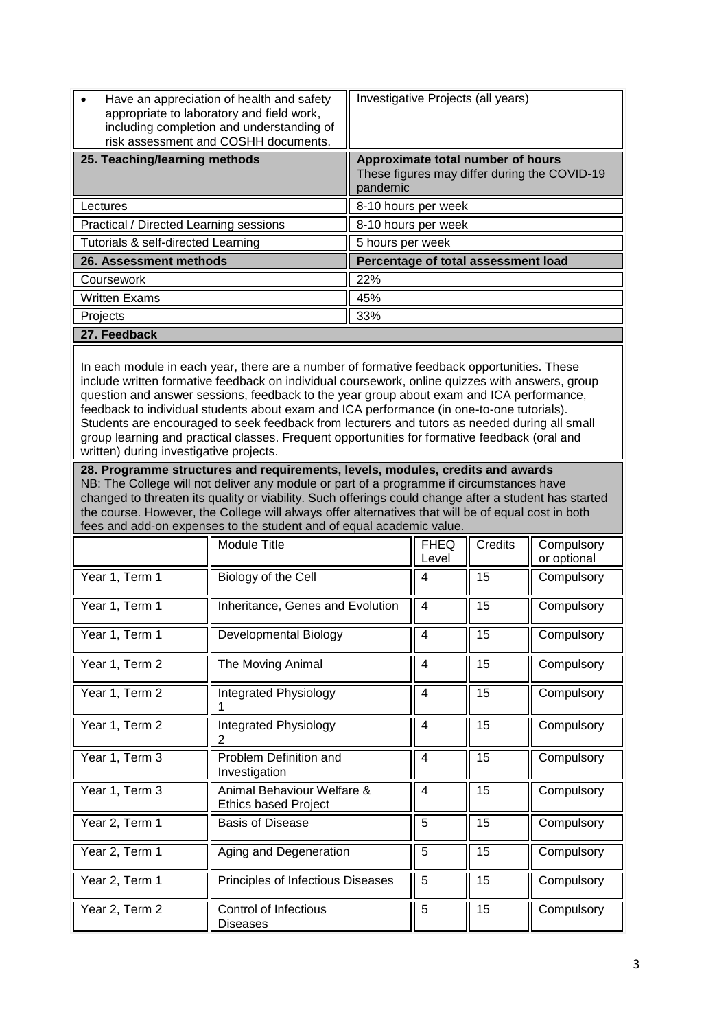| Have an appreciation of health and safety<br>appropriate to laboratory and field work,<br>including completion and understanding of<br>risk assessment and COSHH documents.                                                                                                                                                                                                                                                                                                                                                                                                                                                         |                                                           | Investigative Projects (all years)                                                            |                                     |             |                           |  |
|-------------------------------------------------------------------------------------------------------------------------------------------------------------------------------------------------------------------------------------------------------------------------------------------------------------------------------------------------------------------------------------------------------------------------------------------------------------------------------------------------------------------------------------------------------------------------------------------------------------------------------------|-----------------------------------------------------------|-----------------------------------------------------------------------------------------------|-------------------------------------|-------------|---------------------------|--|
| 25. Teaching/learning methods                                                                                                                                                                                                                                                                                                                                                                                                                                                                                                                                                                                                       |                                                           | Approximate total number of hours<br>These figures may differ during the COVID-19<br>pandemic |                                     |             |                           |  |
| Lectures                                                                                                                                                                                                                                                                                                                                                                                                                                                                                                                                                                                                                            |                                                           | 8-10 hours per week                                                                           |                                     |             |                           |  |
| Practical / Directed Learning sessions                                                                                                                                                                                                                                                                                                                                                                                                                                                                                                                                                                                              |                                                           |                                                                                               | 8-10 hours per week                 |             |                           |  |
| Tutorials & self-directed Learning                                                                                                                                                                                                                                                                                                                                                                                                                                                                                                                                                                                                  |                                                           |                                                                                               | 5 hours per week                    |             |                           |  |
| 26. Assessment methods                                                                                                                                                                                                                                                                                                                                                                                                                                                                                                                                                                                                              |                                                           |                                                                                               | Percentage of total assessment load |             |                           |  |
| Coursework                                                                                                                                                                                                                                                                                                                                                                                                                                                                                                                                                                                                                          |                                                           | 22%                                                                                           |                                     |             |                           |  |
| <b>Written Exams</b>                                                                                                                                                                                                                                                                                                                                                                                                                                                                                                                                                                                                                |                                                           | 45%                                                                                           |                                     |             |                           |  |
| Projects                                                                                                                                                                                                                                                                                                                                                                                                                                                                                                                                                                                                                            |                                                           | 33%                                                                                           |                                     |             |                           |  |
| 27. Feedback                                                                                                                                                                                                                                                                                                                                                                                                                                                                                                                                                                                                                        |                                                           |                                                                                               |                                     |             |                           |  |
| In each module in each year, there are a number of formative feedback opportunities. These<br>include written formative feedback on individual coursework, online quizzes with answers, group<br>question and answer sessions, feedback to the year group about exam and ICA performance,<br>feedback to individual students about exam and ICA performance (in one-to-one tutorials).<br>Students are encouraged to seek feedback from lecturers and tutors as needed during all small<br>group learning and practical classes. Frequent opportunities for formative feedback (oral and<br>written) during investigative projects. |                                                           |                                                                                               |                                     |             |                           |  |
| 28. Programme structures and requirements, levels, modules, credits and awards<br>NB: The College will not deliver any module or part of a programme if circumstances have<br>changed to threaten its quality or viability. Such offerings could change after a student has started<br>the course. However, the College will always offer alternatives that will be of equal cost in both<br>fees and add-on expenses to the student and of equal academic value.                                                                                                                                                                   |                                                           |                                                                                               |                                     |             |                           |  |
|                                                                                                                                                                                                                                                                                                                                                                                                                                                                                                                                                                                                                                     | <b>Module Title</b>                                       |                                                                                               | <b>FHEQ</b><br>Level                | Credits     | Compulsory<br>or optional |  |
| Year 1, Term 1                                                                                                                                                                                                                                                                                                                                                                                                                                                                                                                                                                                                                      | Biology of the Cell                                       |                                                                                               | $\overline{\mathbf{4}}$             | 15          | Compulsory                |  |
| Year 1, Term 1                                                                                                                                                                                                                                                                                                                                                                                                                                                                                                                                                                                                                      | Inheritance, Genes and Evolution                          |                                                                                               | $\overline{4}$                      | 15          | Compulsory                |  |
| Year 1, Term 1                                                                                                                                                                                                                                                                                                                                                                                                                                                                                                                                                                                                                      | <b>Developmental Biology</b>                              |                                                                                               | $\overline{4}$                      | $\sqrt{15}$ | Compulsory                |  |
| Year 1, Term 2                                                                                                                                                                                                                                                                                                                                                                                                                                                                                                                                                                                                                      | The Moving Animal                                         |                                                                                               | $\overline{\mathbf{4}}$             | 15          | Compulsory                |  |
| Year 1, Term 2                                                                                                                                                                                                                                                                                                                                                                                                                                                                                                                                                                                                                      | Integrated Physiology                                     |                                                                                               | 4                                   | 15          | Compulsory                |  |
| Year 1, Term 2                                                                                                                                                                                                                                                                                                                                                                                                                                                                                                                                                                                                                      | Integrated Physiology<br>2                                |                                                                                               | 4                                   | 15          | Compulsory                |  |
| Year 1, Term 3                                                                                                                                                                                                                                                                                                                                                                                                                                                                                                                                                                                                                      | Problem Definition and<br>Investigation                   |                                                                                               | 4                                   | 15          | Compulsory                |  |
| Year 1, Term 3                                                                                                                                                                                                                                                                                                                                                                                                                                                                                                                                                                                                                      | Animal Behaviour Welfare &<br><b>Ethics based Project</b> |                                                                                               | $\overline{\mathbf{4}}$             | 15          | Compulsory                |  |
| Year 2, Term 1                                                                                                                                                                                                                                                                                                                                                                                                                                                                                                                                                                                                                      | <b>Basis of Disease</b>                                   |                                                                                               | 5                                   | 15          | Compulsory                |  |
| Year 2, Term 1                                                                                                                                                                                                                                                                                                                                                                                                                                                                                                                                                                                                                      | Aging and Degeneration                                    |                                                                                               | 5                                   | 15          | Compulsory                |  |
| Year 2, Term 1                                                                                                                                                                                                                                                                                                                                                                                                                                                                                                                                                                                                                      | Principles of Infectious Diseases                         |                                                                                               | 5                                   | 15          | Compulsory                |  |
| Year 2, Term 2                                                                                                                                                                                                                                                                                                                                                                                                                                                                                                                                                                                                                      | Control of Infectious<br>Diseases                         |                                                                                               | 5                                   | 15          | Compulsory                |  |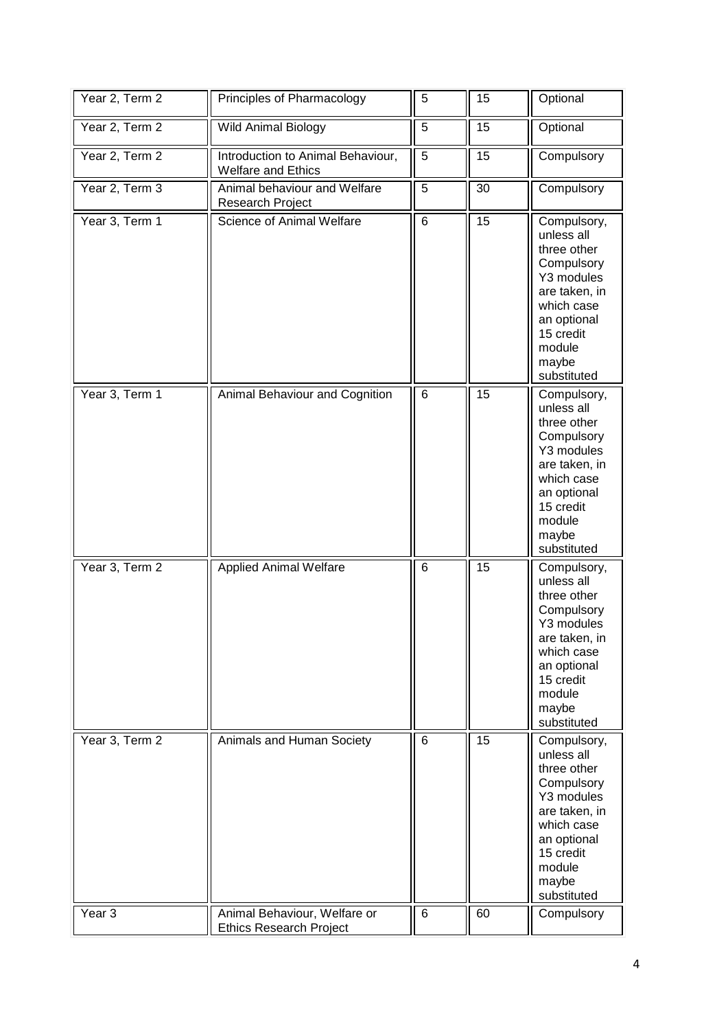| Year 2, Term 2    | Principles of Pharmacology                                     | 5               | 15 | Optional                                                                                                                                                          |
|-------------------|----------------------------------------------------------------|-----------------|----|-------------------------------------------------------------------------------------------------------------------------------------------------------------------|
| Year 2, Term 2    | Wild Animal Biology                                            | 5               | 15 | Optional                                                                                                                                                          |
| Year 2, Term 2    | Introduction to Animal Behaviour,<br>Welfare and Ethics        | 5               | 15 | Compulsory                                                                                                                                                        |
| Year 2, Term 3    | Animal behaviour and Welfare<br>Research Project               | 5               | 30 | Compulsory                                                                                                                                                        |
| Year 3, Term 1    | Science of Animal Welfare                                      | $\overline{6}$  | 15 | Compulsory,<br>unless all<br>three other<br>Compulsory<br>Y3 modules<br>are taken, in<br>which case<br>an optional<br>15 credit<br>module<br>maybe<br>substituted |
| Year 3, Term 1    | Animal Behaviour and Cognition                                 | $6\phantom{1}6$ | 15 | Compulsory,<br>unless all<br>three other<br>Compulsory<br>Y3 modules<br>are taken, in<br>which case<br>an optional<br>15 credit<br>module<br>maybe<br>substituted |
| Year 3, Term 2    | <b>Applied Animal Welfare</b>                                  | 6               | 15 | Compulsory,<br>unless all<br>three other<br>Compulsory<br>Y3 modules<br>are taken, in<br>which case<br>an optional<br>15 credit<br>module<br>maybe<br>substituted |
| Year 3, Term 2    | Animals and Human Society                                      | 6               | 15 | Compulsory,<br>unless all<br>three other<br>Compulsory<br>Y3 modules<br>are taken, in<br>which case<br>an optional<br>15 credit<br>module<br>maybe<br>substituted |
| Year <sub>3</sub> | Animal Behaviour, Welfare or<br><b>Ethics Research Project</b> | $\,6\,$         | 60 | Compulsory                                                                                                                                                        |